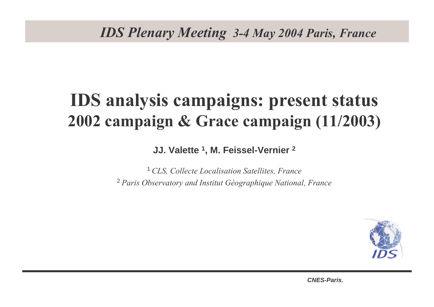# **IDS analysis campaigns: present status** 2002 campaign & Grace campaign (11/2003)

**JJ. Valette <sup>1</sup>, M. Feissel-Vernier 2**

<sup>1</sup> CLS, Collecte Localisation Satellites, France <sup>2</sup> Paris Observatory and Institut Géographique National, France

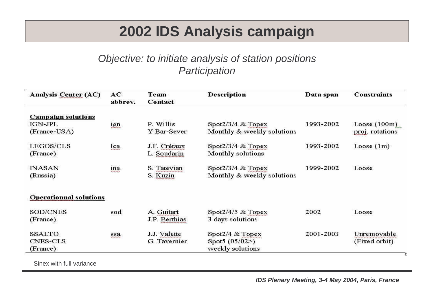## **2002 IDS Analysis campaign**

#### Objective: to initiate analysis of station positions**Participation**

| <b>Analysis Center (AC)</b>   | AC<br><b>Description</b><br>Team-<br>abbrev.<br>Contact |               | Data span                  | <b>Constraints</b> |                 |
|-------------------------------|---------------------------------------------------------|---------------|----------------------------|--------------------|-----------------|
| <b>Campaign solutions</b>     |                                                         |               |                            |                    |                 |
| IGN-JPL                       | ign                                                     | P. Willis     | Spot $2/3/4$ & Topex       | 1993-2002          | Loose $(100m)$  |
| (France-USA)                  |                                                         | Y Bar-Sever   | Monthly & weekly solutions |                    | proj. rotations |
| LEGOS/CLS                     | lca                                                     | J.F. Crétaux  | Spot $2/3/4$ & Topex       | 1993-2002          | Loose $(1m)$    |
| (France)                      |                                                         | L. Soudarin   | Monthly solutions          |                    |                 |
| <b>INASAN</b>                 | ina                                                     | S. Tatevian   | Spot $2/3/4$ & Topex       | 1999-2002          | Loose           |
| (Russia)                      |                                                         | S. Kuzin      | Monthly & weekly solutions |                    |                 |
| <b>Operationnal solutions</b> |                                                         |               |                            |                    |                 |
| SOD/CNES                      | sod                                                     | A. Guitart    | Spot $2/4/5$ & Topex       | 2002               | Loose           |
| (France)                      |                                                         | J.P. Berthias | 3 days solutions           |                    |                 |
| SSALTO                        | ssa                                                     | J.J. Valette  | Spot $2/4$ & Topex         | 2001-2003          | Unremovable     |
| <b>CNES-CLS</b>               |                                                         | G. Tavernier  | Spot5 $(05/02)$            |                    | (Fixed orbit)   |
| (France)                      |                                                         |               | weekly solutions           |                    |                 |

Sinex with full variance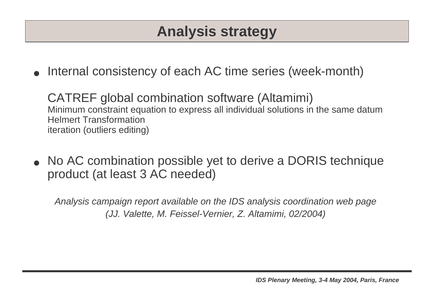## **Analysis strategy**

●**•** Internal consistency of each AC time series (week-month)

CATREF global combination software (Altamimi) Minimum constraint equation to express all individual solutions in the same datumHelmert Transformationiteration (outliers editing)

●• No AC combination possible yet to derive a DORIS technique product (at least 3 AC needed)

Analysis campaign report available on the IDS analysis coordination web page (JJ. Valette, M. Feissel-Vernier, Z. Altamimi, 02/2004)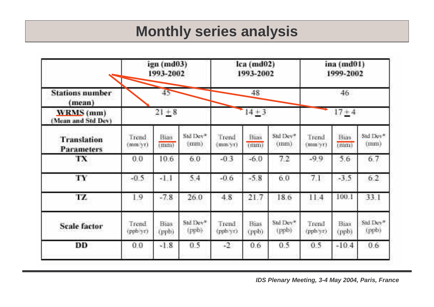### **Monthly series analysis**

|                                  |                   | ign (md03)<br>1993-2002 |                      |                   | $lca$ ( $md02$ )<br>1993-2002 |                     |                   | ina (md01)<br>1999-2002 |                               |
|----------------------------------|-------------------|-------------------------|----------------------|-------------------|-------------------------------|---------------------|-------------------|-------------------------|-------------------------------|
| <b>Stations number</b><br>(mean) | 45                |                         |                      | 48.               |                               |                     | 46.<br>$17 + 4$   |                         |                               |
| WRMS (mm)<br>(Mean and Std Dev)  |                   | $14 + 3$<br>$21 + 8$    |                      |                   |                               |                     |                   |                         |                               |
| Translation<br>Parameters        | Trend<br>mmayri   | Bias<br>(mm)            | Std Dev*<br>$(\min)$ | Trend<br>mm/yr)   | Bias<br>(mm)                  | Std Dev"<br>(11111) | Trend<br>(mm/yr)  | Bias.<br>(nim)          | Std Dev*<br>(nmn)             |
| TХ                               | 0.0               | 10.6                    | 6.0                  | $-0.3$            | $-6.0$                        | 7.2.                | $-99$             | 5.6                     | 6.7                           |
| TY                               | $-0.5$            | $-1.1$                  | 5.4                  | $-0.6$            | $-5.8$                        | 6.0                 | 71                | $-3.5$                  | 6.2                           |
| TZ                               | $\mathbf{1}9$     | $-7.8$                  | 26.0                 | 4.8               | 21.7                          | 18.6                | 11.4              | 100.1                   | 33.1                          |
| <b>Scale factor</b>              | Trend<br>(ppb yr) | Bigs.<br>(ppb)          | Still Dev®<br>(ppb)  | Trend<br>(pph/yr) | Bias<br>(ppb)                 | Std Dev?<br>(ppb)   | Trend<br>(pph/yr) | Bins<br>(ppb)           | Std Dev <sup>*</sup><br>(ppb) |
| ÐD                               | 0.0               | $-1.8$                  | 0.5                  | $+2$              | 0.6                           | 0.5.                | 0.5               | $-10.4$                 | 0.6                           |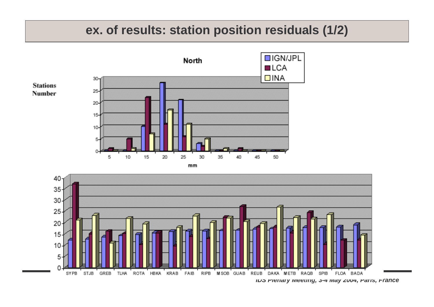#### **ex. of results: station position residuals (1/2)**



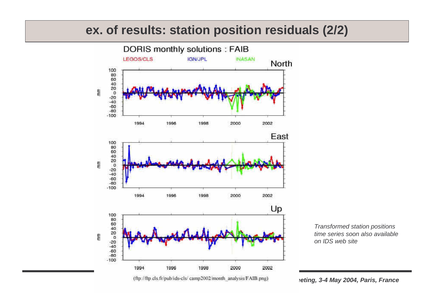#### **ex. of results: station position residuals (2/2)**



(ftp://ftp.cls.fr/pub/ids-cls/camp2002/month\_analysis/FAIB.png) **and according, 3-4 May 2004, Paris, France** 

Transformed station positions time series soon also availableon IDS web site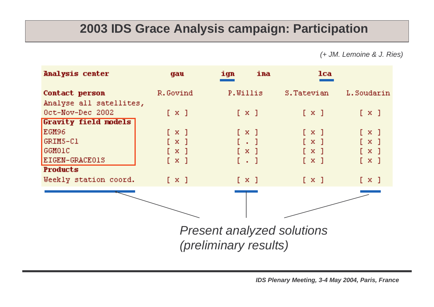### **2003 IDS Grace Analysis campaign: Participation**

(+ JM. Lemoine & J. Ries)

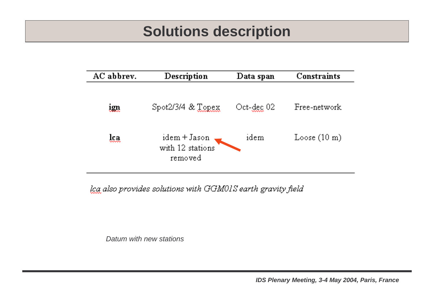### **Solutions description**

| AC abbrev.   | Description                                 | Data span        | <b>Constraints</b>     |
|--------------|---------------------------------------------|------------------|------------------------|
| <u>1911</u>  | $Spot2/3/4 & \mathcal{X} \text{ [CPEX]}$    | $Oct$ - $dec$ 02 | Free-network           |
| lca<br>いんへんへ | idem + Jason<br>with 12 stations<br>removed | idem             | Loose $(10 \text{ m})$ |

lca also provides solutions with GGM01S earth gravity field

Datum with new stations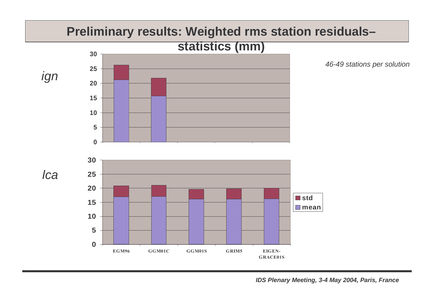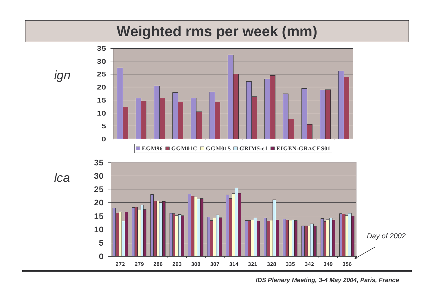### **Weighted rms per week (mm)**

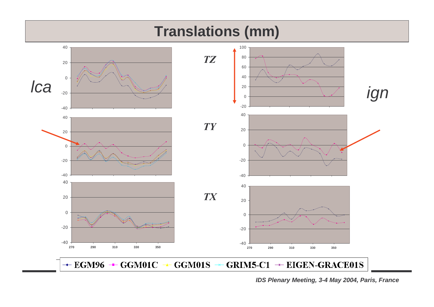

**IDS Plenary Meeting, 3-4 May 2004, Paris, France**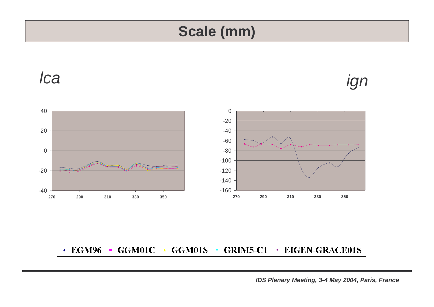### **Scale (mm)**



#### $\rightarrow$  EGM96  $\rightarrow$  GGM01C  $\rightarrow$  GGM01S  $\rightarrow$  GRIM5-C1  $\rightarrow$  EIGEN-GRACE01S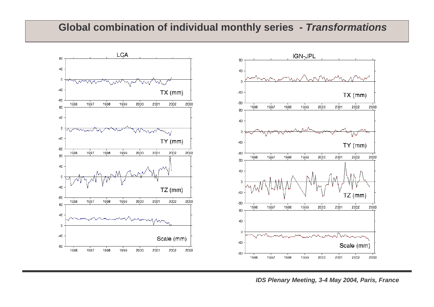### **Global combination of individual monthly series - Transformations**



**IDS Plenary Meeting, 3-4 May 2004, Paris, France**